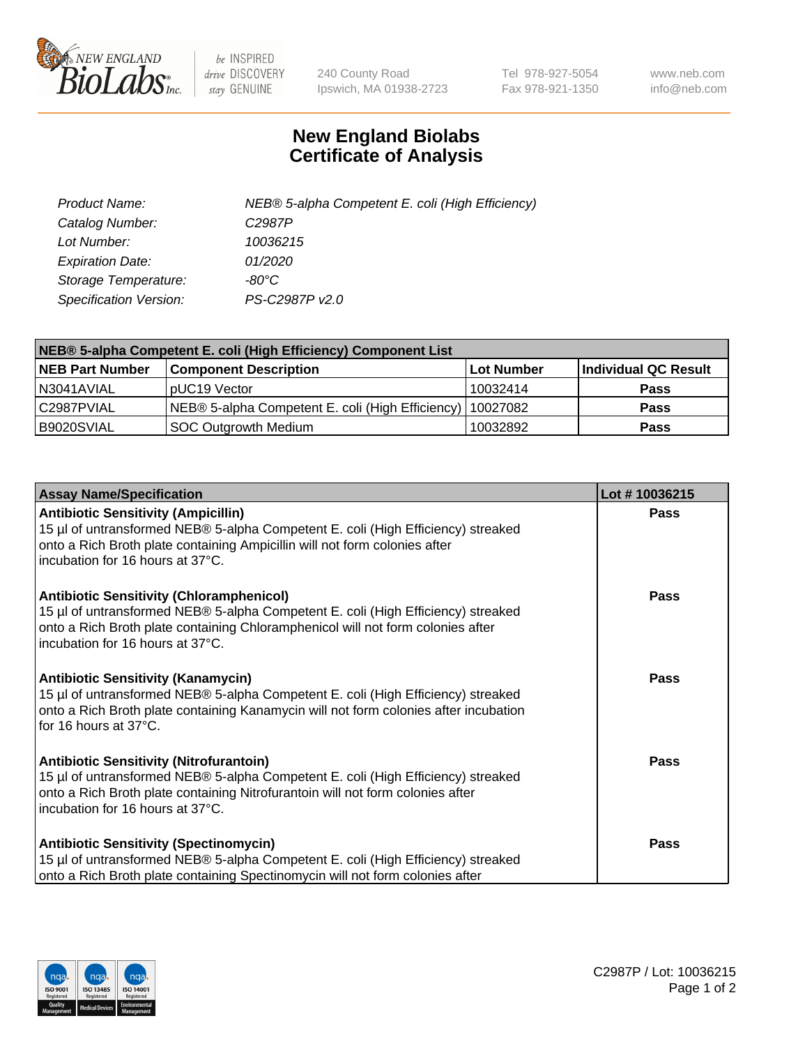

 $be$  INSPIRED drive DISCOVERY stay GENUINE

240 County Road Ipswich, MA 01938-2723 Tel 978-927-5054 Fax 978-921-1350 www.neb.com info@neb.com

## **New England Biolabs Certificate of Analysis**

| Product Name:           | NEB® 5-alpha Competent E. coli (High Efficiency) |
|-------------------------|--------------------------------------------------|
| Catalog Number:         | C <sub>2987</sub> P                              |
| Lot Number:             | 10036215                                         |
| <b>Expiration Date:</b> | 01/2020                                          |
| Storage Temperature:    | -80°C                                            |
| Specification Version:  | PS-C2987P v2.0                                   |

| NEB® 5-alpha Competent E. coli (High Efficiency) Component List |                                                  |            |                      |  |
|-----------------------------------------------------------------|--------------------------------------------------|------------|----------------------|--|
| <b>NEB Part Number</b>                                          | <b>Component Description</b>                     | Lot Number | Individual QC Result |  |
| N3041AVIAL                                                      | pUC19 Vector                                     | 10032414   | <b>Pass</b>          |  |
| C2987PVIAL                                                      | NEB® 5-alpha Competent E. coli (High Efficiency) | 10027082   | <b>Pass</b>          |  |
| B9020SVIAL                                                      | SOC Outgrowth Medium                             | 10032892   | <b>Pass</b>          |  |

| <b>Assay Name/Specification</b>                                                                                                                                                                                                                            | Lot #10036215 |
|------------------------------------------------------------------------------------------------------------------------------------------------------------------------------------------------------------------------------------------------------------|---------------|
| <b>Antibiotic Sensitivity (Ampicillin)</b><br>15 µl of untransformed NEB® 5-alpha Competent E. coli (High Efficiency) streaked<br>onto a Rich Broth plate containing Ampicillin will not form colonies after<br>incubation for 16 hours at 37°C.           | <b>Pass</b>   |
| <b>Antibiotic Sensitivity (Chloramphenicol)</b><br>15 µl of untransformed NEB® 5-alpha Competent E. coli (High Efficiency) streaked<br>onto a Rich Broth plate containing Chloramphenicol will not form colonies after<br>incubation for 16 hours at 37°C. | <b>Pass</b>   |
| <b>Antibiotic Sensitivity (Kanamycin)</b><br>15 µl of untransformed NEB® 5-alpha Competent E. coli (High Efficiency) streaked<br>onto a Rich Broth plate containing Kanamycin will not form colonies after incubation<br>for 16 hours at 37°C.             | Pass          |
| <b>Antibiotic Sensitivity (Nitrofurantoin)</b><br>15 µl of untransformed NEB® 5-alpha Competent E. coli (High Efficiency) streaked<br>onto a Rich Broth plate containing Nitrofurantoin will not form colonies after<br>incubation for 16 hours at 37°C.   | Pass          |
| <b>Antibiotic Sensitivity (Spectinomycin)</b><br>15 µl of untransformed NEB® 5-alpha Competent E. coli (High Efficiency) streaked<br>onto a Rich Broth plate containing Spectinomycin will not form colonies after                                         | Pass          |